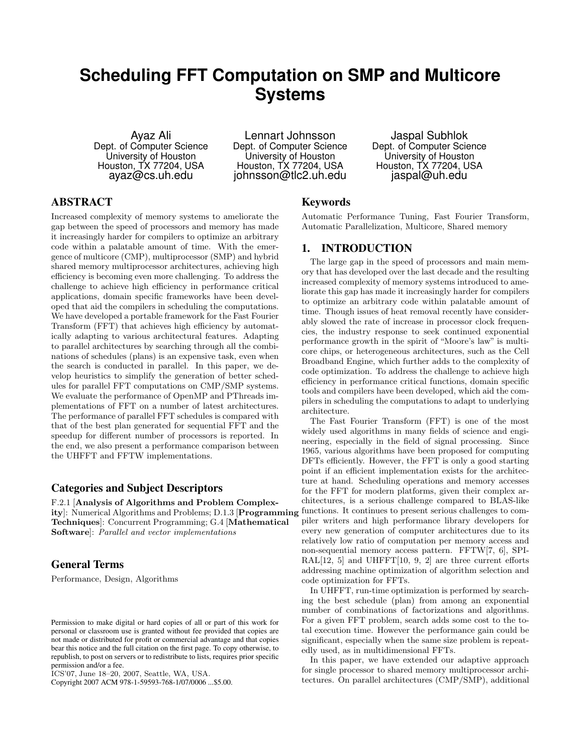# **Scheduling FFT Computation on SMP and Multicore Systems**

Ayaz Ali Dept. of Computer Science University of Houston Houston, TX 77204, USA ayaz@cs.uh.edu

Lennart Johnsson Dept. of Computer Science University of Houston Houston, TX 77204, USA johnsson@tlc2.uh.edu

Jaspal Subhlok Dept. of Computer Science University of Houston Houston, TX 77204, USA jaspal@uh.edu

# ABSTRACT

Increased complexity of memory systems to ameliorate the gap between the speed of processors and memory has made it increasingly harder for compilers to optimize an arbitrary code within a palatable amount of time. With the emergence of multicore (CMP), multiprocessor (SMP) and hybrid shared memory multiprocessor architectures, achieving high efficiency is becoming even more challenging. To address the challenge to achieve high efficiency in performance critical applications, domain specific frameworks have been developed that aid the compilers in scheduling the computations. We have developed a portable framework for the Fast Fourier Transform (FFT) that achieves high efficiency by automatically adapting to various architectural features. Adapting to parallel architectures by searching through all the combinations of schedules (plans) is an expensive task, even when the search is conducted in parallel. In this paper, we develop heuristics to simplify the generation of better schedules for parallel FFT computations on CMP/SMP systems. We evaluate the performance of OpenMP and PThreads implementations of FFT on a number of latest architectures. The performance of parallel FFT schedules is compared with that of the best plan generated for sequential FFT and the speedup for different number of processors is reported. In the end, we also present a performance comparison between the UHFFT and FFTW implementations.

#### Categories and Subject Descriptors

F.2.1 [**Analysis of Algorithms and Problem Complexity**]: Numerical Algorithms and Problems; D.1.3 [**Programming Techniques**]: Concurrent Programming; G.4 [**Mathematical Software**]: *Parallel and vector implementations*

## General Terms

Performance, Design, Algorithms

Copyright 2007 ACM 978-1-59593-768-1/07/0006 ...\$5.00.

## Keywords

Automatic Performance Tuning, Fast Fourier Transform, Automatic Parallelization, Multicore, Shared memory

### 1. INTRODUCTION

The large gap in the speed of processors and main memory that has developed over the last decade and the resulting increased complexity of memory systems introduced to ameliorate this gap has made it increasingly harder for compilers to optimize an arbitrary code within palatable amount of time. Though issues of heat removal recently have considerably slowed the rate of increase in processor clock frequencies, the industry response to seek continued exponential performance growth in the spirit of "Moore's law" is multicore chips, or heterogeneous architectures, such as the Cell Broadband Engine, which further adds to the complexity of code optimization. To address the challenge to achieve high efficiency in performance critical functions, domain specific tools and compilers have been developed, which aid the compilers in scheduling the computations to adapt to underlying architecture.

The Fast Fourier Transform (FFT) is one of the most widely used algorithms in many fields of science and engineering, especially in the field of signal processing. Since 1965, various algorithms have been proposed for computing DFTs efficiently. However, the FFT is only a good starting point if an efficient implementation exists for the architecture at hand. Scheduling operations and memory accesses for the FFT for modern platforms, given their complex architectures, is a serious challenge compared to BLAS-like functions. It continues to present serious challenges to compiler writers and high performance library developers for every new generation of computer architectures due to its relatively low ratio of computation per memory access and non-sequential memory access pattern. FFTW[7, 6], SPI-RAL $[12, 5]$  and UHFFT $[10, 9, 2]$  are three current efforts addressing machine optimization of algorithm selection and code optimization for FFTs.

In UHFFT, run-time optimization is performed by searching the best schedule (plan) from among an exponential number of combinations of factorizations and algorithms. For a given FFT problem, search adds some cost to the total execution time. However the performance gain could be significant, especially when the same size problem is repeatedly used, as in multidimensional FFTs.

In this paper, we have extended our adaptive approach for single processor to shared memory multiprocessor architectures. On parallel architectures (CMP/SMP), additional

Permission to make digital or hard copies of all or part of this work for personal or classroom use is granted without fee provided that copies are not made or distributed for profit or commercial advantage and that copies bear this notice and the full citation on the first page. To copy otherwise, to republish, to post on servers or to redistribute to lists, requires prior specific permission and/or a fee.

ICS'07, June 18–20, 2007, Seattle, WA, USA.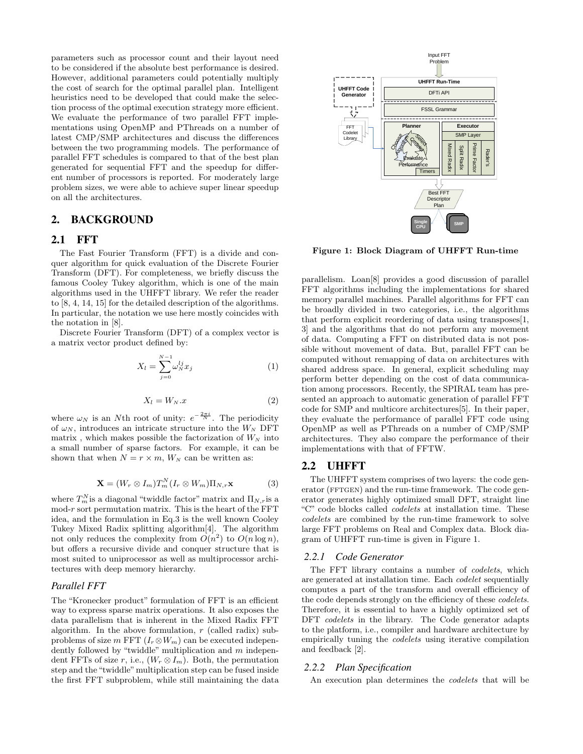parameters such as processor count and their layout need to be considered if the absolute best performance is desired. However, additional parameters could potentially multiply the cost of search for the optimal parallel plan. Intelligent heuristics need to be developed that could make the selection process of the optimal execution strategy more efficient. We evaluate the performance of two parallel FFT implementations using OpenMP and PThreads on a number of latest CMP/SMP architectures and discuss the differences between the two programming models. The performance of parallel FFT schedules is compared to that of the best plan generated for sequential FFT and the speedup for different number of processors is reported. For moderately large problem sizes, we were able to achieve super linear speedup on all the architectures.

# 2. BACKGROUND

#### 2.1 FFT

The Fast Fourier Transform (FFT) is a divide and conquer algorithm for quick evaluation of the Discrete Fourier Transform (DFT). For completeness, we briefly discuss the famous Cooley Tukey algorithm, which is one of the main algorithms used in the UHFFT library. We refer the reader to [8, 4, 14, 15] for the detailed description of the algorithms. In particular, the notation we use here mostly coincides with the notation in [8].

Discrete Fourier Transform (DFT) of a complex vector is a matrix vector product defined by:

$$
X_{l} = \sum_{j=0}^{N-1} \omega_{N}^{lj} x_{j}
$$
 (1)

$$
X_l = W_N \cdot x \tag{2}
$$

where  $\omega_N$  is an *N*th root of unity:  $e^{-\frac{2\pi i}{N}}$ . The periodicity of  $\omega_N$ , introduces an intricate structure into the  $W_N$  DFT matrix, which makes possible the factorization of  $W_N$  into a small number of sparse factors. For example, it can be shown that when  $N = r \times m$ ,  $W_N$  can be written as:

$$
\mathbf{X} = (W_r \otimes I_m) T_m^N (I_r \otimes W_m) \Pi_{N,r} \mathbf{x}
$$
 (3)

where  $T_m^N$  is a diagonal "twiddle factor" matrix and  $\Pi_{N,r}$  is a mod-*r* sort permutation matrix. This is the heart of the FFT idea, and the formulation in Eq.3 is the well known Cooley Tukey Mixed Radix splitting algorithm[4]. The algorithm not only reduces the complexity from  $O(n^2)$  to  $O(n \log n)$ , but offers a recursive divide and conquer structure that is most suited to uniprocessor as well as multiprocessor architectures with deep memory hierarchy.

## *Parallel FFT*

The "Kronecker product" formulation of FFT is an efficient way to express sparse matrix operations. It also exposes the data parallelism that is inherent in the Mixed Radix FFT algorithm. In the above formulation, *r* (called radix) subproblems of size *m* FFT  $(I_r \otimes W_m)$  can be executed independently followed by "twiddle" multiplication and *m* independent FFTs of size *r*, i.e.,  $(W_r \otimes I_m)$ . Both, the permutation step and the "twiddle" multiplication step can be fused inside the first FFT subproblem, while still maintaining the data



**Figure 1: Block Diagram of UHFFT Run-time**

parallelism. Loan[8] provides a good discussion of parallel FFT algorithms including the implementations for shared memory parallel machines. Parallel algorithms for FFT can be broadly divided in two categories, i.e., the algorithms that perform explicit reordering of data using transposes[1, 3] and the algorithms that do not perform any movement of data. Computing a FFT on distributed data is not possible without movement of data. But, parallel FFT can be computed without remapping of data on architectures with shared address space. In general, explicit scheduling may perform better depending on the cost of data communication among processors. Recently, the SPIRAL team has presented an approach to automatic generation of parallel FFT code for SMP and multicore architectures[5]. In their paper, they evaluate the performance of parallel FFT code using OpenMP as well as PThreads on a number of CMP/SMP architectures. They also compare the performance of their implementations with that of FFTW.

#### 2.2 UHFFT

The UHFFT system comprises of two layers: the code generator (FFTGEN) and the run-time framework. The code generator generates highly optimized small DFT, straight line "C" code blocks called *codelets* at installation time. These *codelets* are combined by the run-time framework to solve large FFT problems on Real and Complex data. Block diagram of UHFFT run-time is given in Figure 1.

#### *2.2.1 Code Generator*

The FFT library contains a number of *codelets*, which are generated at installation time. Each *codelet* sequentially computes a part of the transform and overall efficiency of the code depends strongly on the efficiency of these *codelets*. Therefore, it is essential to have a highly optimized set of DFT *codelets* in the library. The Code generator adapts to the platform, i.e., compiler and hardware architecture by empirically tuning the *codelets* using iterative compilation and feedback [2].

#### *2.2.2 Plan Specification*

An execution plan determines the *codelets* that will be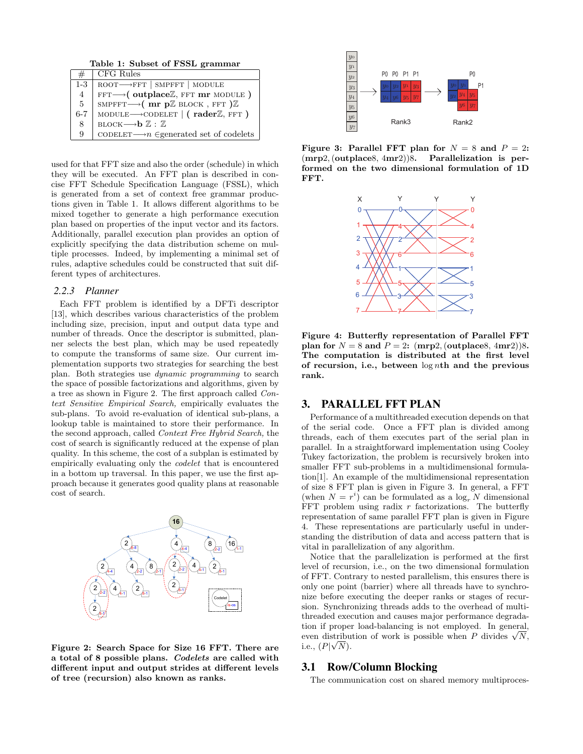**Table 1: Subset of FSSL grammar**

| #              | CFG Rules                                                    |
|----------------|--------------------------------------------------------------|
| $1-3$          | $ROOT \longrightarrow FFT$   SMPFFT   MODULE                 |
| 4              | $FFT \longrightarrow (outplace \mathbb{Z}, FFT mr MODEL)$    |
| 5 <sup>5</sup> | SMPFFT $\longrightarrow$ (mr pZ BLOCK, FFT)Z                 |
| $6 - 7$        | MODULE $\longrightarrow$ CODELET   (rader Z, FFT)            |
| 8              | BLOCK $\longrightarrow$ $\mathbf{b} \mathbb{Z} : \mathbb{Z}$ |
| 9              | CODELET $\longrightarrow$ egenerated set of codelets         |

used for that FFT size and also the order (schedule) in which they will be executed. An FFT plan is described in concise FFT Schedule Specification Language (FSSL), which is generated from a set of context free grammar productions given in Table 1. It allows different algorithms to be mixed together to generate a high performance execution plan based on properties of the input vector and its factors. Additionally, parallel execution plan provides an option of explicitly specifying the data distribution scheme on multiple processes. Indeed, by implementing a minimal set of rules, adaptive schedules could be constructed that suit different types of architectures.

#### *2.2.3 Planner*

Each FFT problem is identified by a DFTi descriptor [13], which describes various characteristics of the problem including size, precision, input and output data type and number of threads. Once the descriptor is submitted, planner selects the best plan, which may be used repeatedly to compute the transforms of same size. Our current implementation supports two strategies for searching the best plan. Both strategies use *dynamic programming* to search the space of possible factorizations and algorithms, given by a tree as shown in Figure 2. The first approach called *Context Sensitive Empirical Search,* empirically evaluates the sub-plans. To avoid re-evaluation of identical sub-plans, a lookup table is maintained to store their performance. In the second approach, called *Context Free Hybrid Search,* the cost of search is significantly reduced at the expense of plan quality. In this scheme, the cost of a subplan is estimated by empirically evaluating only the *codelet* that is encountered in a bottom up traversal. In this paper, we use the first approach because it generates good quality plans at reasonable cost of search.



**Figure 2: Search Space for Size 16 FFT. There are a total of 8 possible plans.** *Codelets* **are called with different input and output strides at different levels of tree (recursion) also known as ranks.**



**Figure 3: Parallel FFT plan for**  $N = 8$  and  $P = 2$ : (**mrp**2*,* (**outplace**8*,* 4**mr**2))8**. Parallelization is performed on the two dimensional formulation of 1D FFT.**



**Figure 4: Butterfly representation of Parallel FFT plan for**  $N = 8$  **and**  $P = 2$ **:** (**mrp**2*,* (**outplace**8*,* 4**mr**2*)*)8*.* **The computation is distributed at the first level of recursion, i.e., between** log *n***th and the previous rank.**

#### 3. PARALLEL FFT PLAN

Performance of a multithreaded execution depends on that of the serial code. Once a FFT plan is divided among threads, each of them executes part of the serial plan in parallel. In a straightforward implementation using Cooley Tukey factorization, the problem is recursively broken into smaller FFT sub-problems in a multidimensional formulation[1]. An example of the multidimensional representation of size 8 FFT plan is given in Figure 3. In general, a FFT (when  $N = r<sup>i</sup>$ ) can be formulated as a  $\log_r N$  dimensional FFT problem using radix *r* factorizations. The butterfly representation of same parallel FFT plan is given in Figure 4. These representations are particularly useful in understanding the distribution of data and access pattern that is vital in parallelization of any algorithm.

Notice that the parallelization is performed at the first level of recursion, i.e., on the two dimensional formulation of FFT. Contrary to nested parallelism, this ensures there is only one point (barrier) where all threads have to synchronize before executing the deeper ranks or stages of recursion. Synchronizing threads adds to the overhead of multithreaded execution and causes major performance degradation if proper load-balancing is not employed. In general, tion if proper load-balancing is not employed. In general, even distribution of work is possible when *P* divides  $\sqrt{N}$ , i.e.,  $(P|\sqrt{N})$ .

#### 3.1 Row/Column Blocking

The communication cost on shared memory multiproces-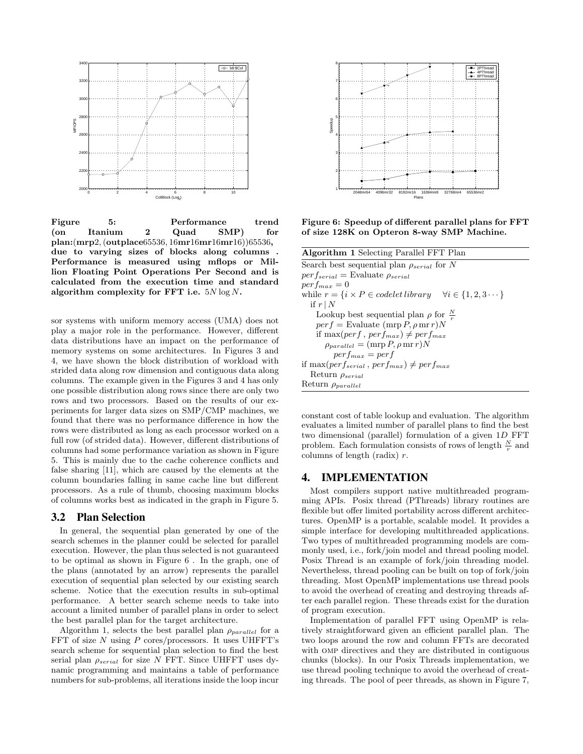

**Figure 5: Performance trend (on Itanium 2 Quad SMP) for plan:**(**mrp**2*,* (**outplace**65536*,* 16**mr**16**mr**16**mr**16))65536**, due to varying sizes of blocks along columns . Performance is measured using mflops or Million Floating Point Operations Per Second and is calculated from the execution time and standard algorithm complexity for FFT i.e.** 5*N* log *N***.**

sor systems with uniform memory access (UMA) does not play a major role in the performance. However, different data distributions have an impact on the performance of memory systems on some architectures. In Figures 3 and 4, we have shown the block distribution of workload with strided data along row dimension and contiguous data along columns. The example given in the Figures 3 and 4 has only one possible distribution along rows since there are only two rows and two processors. Based on the results of our experiments for larger data sizes on SMP/CMP machines, we found that there was no performance difference in how the rows were distributed as long as each processor worked on a full row (of strided data). However, different distributions of columns had some performance variation as shown in Figure 5. This is mainly due to the cache coherence conflicts and false sharing [11], which are caused by the elements at the column boundaries falling in same cache line but different processors. As a rule of thumb, choosing maximum blocks of columns works best as indicated in the graph in Figure 5.

### 3.2 Plan Selection

In general, the sequential plan generated by one of the search schemes in the planner could be selected for parallel execution. However, the plan thus selected is not guaranteed to be optimal as shown in Figure 6 . In the graph, one of the plans (annotated by an arrow) represents the parallel execution of sequential plan selected by our existing search scheme. Notice that the execution results in sub-optimal performance. A better search scheme needs to take into account a limited number of parallel plans in order to select the best parallel plan for the target architecture.

Algorithm 1, selects the best parallel plan  $\rho_{parallel}$  for a FFT of size *N* using *P* cores/processors. It uses UHFFT's search scheme for sequential plan selection to find the best serial plan *ρserial* for size *N* FFT. Since UHFFT uses dynamic programming and maintains a table of performance numbers for sub-problems, all iterations inside the loop incur



**Figure 6: Speedup of different parallel plans for FFT of size 128K on Opteron 8-way SMP Machine.**

| <b>Algorithm 1</b> Selecting Parallel FFT Plan                                      |  |  |  |  |
|-------------------------------------------------------------------------------------|--|--|--|--|
| Search best sequential plan $\rho_{serial}$ for N                                   |  |  |  |  |
| $perf_{serial}$ = Evaluate $\rho_{serial}$                                          |  |  |  |  |
| $perf_{max} = 0$                                                                    |  |  |  |  |
| while $r = \{i \times P \in codelet library \quad \forall i \in \{1, 2, 3 \cdots\}$ |  |  |  |  |
| if $r \mid N$                                                                       |  |  |  |  |
| Lookup best sequential plan $\rho$ for $\frac{N}{r}$                                |  |  |  |  |
| $perf = Evaluate (mrp P, \rho mr r)N$                                               |  |  |  |  |
| if max(perf, perf <sub>max</sub> ) $\neq$ perf <sub>max</sub>                       |  |  |  |  |
| $\rho_{parallel} = (mrp P, \rho mr r)N$                                             |  |  |  |  |
| $perf_{max} = perf$                                                                 |  |  |  |  |
| if max(perf <sub>serial</sub> , perf <sub>max</sub> ) $\neq$ perf <sub>max</sub>    |  |  |  |  |
| Return $\rho_{serial}$                                                              |  |  |  |  |
| Return $\rho_{parallel}$                                                            |  |  |  |  |

constant cost of table lookup and evaluation. The algorithm evaluates a limited number of parallel plans to find the best two dimensional (parallel) formulation of a given 1*D* FFT problem. Each formulation consists of rows of length  $\frac{N}{r}$  and columns of length (radix) *r*.

## 4. IMPLEMENTATION

Most compilers support native multithreaded programming APIs. Posix thread (PThreads) library routines are flexible but offer limited portability across different architectures. OpenMP is a portable, scalable model. It provides a simple interface for developing multithreaded applications. Two types of multithreaded programming models are commonly used, i.e., fork/join model and thread pooling model. Posix Thread is an example of fork/join threading model. Nevertheless, thread pooling can be built on top of fork/join threading. Most OpenMP implementations use thread pools to avoid the overhead of creating and destroying threads after each parallel region. These threads exist for the duration of program execution.

Implementation of parallel FFT using OpenMP is relatively straightforward given an efficient parallel plan. The two loops around the row and column FFTs are decorated with omp directives and they are distributed in contiguous chunks (blocks). In our Posix Threads implementation, we use thread pooling technique to avoid the overhead of creating threads. The pool of peer threads, as shown in Figure 7,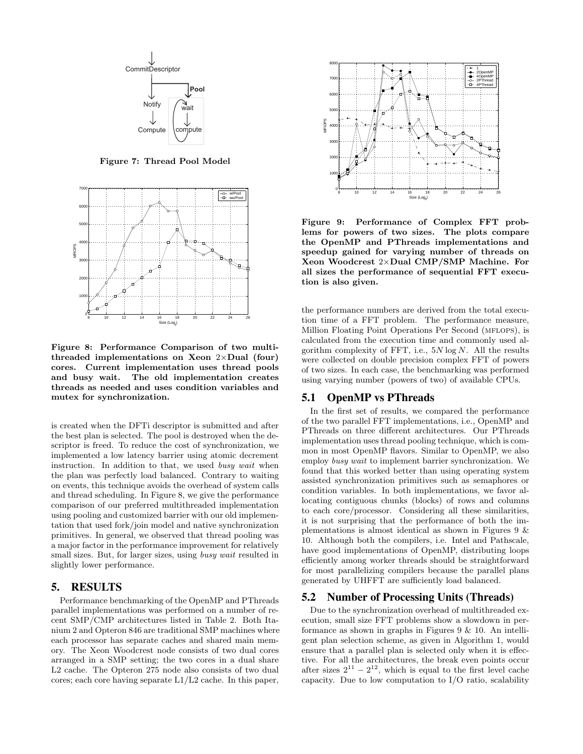

**Figure 7: Thread Pool Model**



**Figure 8: Performance Comparison of two multithreaded implementations on Xeon** 2*×***Dual (four) cores. Current implementation uses thread pools and busy wait. The old implementation creates threads as needed and uses condition variables and mutex for synchronization.**

is created when the DFTi descriptor is submitted and after the best plan is selected. The pool is destroyed when the descriptor is freed. To reduce the cost of synchronization, we implemented a low latency barrier using atomic decrement instruction. In addition to that, we used *busy wait* when the plan was perfectly load balanced. Contrary to waiting on events, this technique avoids the overhead of system calls and thread scheduling. In Figure 8, we give the performance comparison of our preferred multithreaded implementation using pooling and customized barrier with our old implementation that used fork/join model and native synchronization primitives. In general, we observed that thread pooling was a major factor in the performance improvement for relatively small sizes. But, for larger sizes, using *busy wait* resulted in slightly lower performance.

### 5. RESULTS

Performance benchmarking of the OpenMP and PThreads parallel implementations was performed on a number of recent SMP/CMP architectures listed in Table 2. Both Itanium 2 and Opteron 846 are traditional SMP machines where each processor has separate caches and shared main memory. The Xeon Woodcrest node consists of two dual cores arranged in a SMP setting; the two cores in a dual share L2 cache. The Opteron 275 node also consists of two dual cores; each core having separate L1/L2 cache. In this paper,



**Figure 9: Performance of Complex FFT problems for powers of two sizes. The plots compare the OpenMP and PThreads implementations and speedup gained for varying number of threads on Xeon Woodcrest** 2*×***Dual CMP/SMP Machine. For all sizes the performance of sequential FFT execution is also given.**

the performance numbers are derived from the total execution time of a FFT problem. The performance measure, Million Floating Point Operations Per Second (MFLOPS), is calculated from the execution time and commonly used algorithm complexity of FFT, i.e., 5*N* log *N*. All the results were collected on double precision complex FFT of powers of two sizes. In each case, the benchmarking was performed using varying number (powers of two) of available CPUs.

## 5.1 OpenMP vs PThreads

In the first set of results, we compared the performance of the two parallel FFT implementations, i.e., OpenMP and PThreads on three different architectures. Our PThreads implementation uses thread pooling technique, which is common in most OpenMP flavors. Similar to OpenMP, we also employ *busy wait* to implement barrier synchronization. We found that this worked better than using operating system assisted synchronization primitives such as semaphores or condition variables. In both implementations, we favor allocating contiguous chunks (blocks) of rows and columns to each core/processor. Considering all these similarities, it is not surprising that the performance of both the implementations is almost identical as shown in Figures 9 & 10. Although both the compilers, i.e. Intel and Pathscale, have good implementations of OpenMP, distributing loops efficiently among worker threads should be straightforward for most parallelizing compilers because the parallel plans generated by UHFFT are sufficiently load balanced.

## 5.2 Number of Processing Units (Threads)

Due to the synchronization overhead of multithreaded execution, small size FFT problems show a slowdown in performance as shown in graphs in Figures  $9 \& 10$ . An intelligent plan selection scheme, as given in Algorithm 1, would ensure that a parallel plan is selected only when it is effective. For all the architectures, the break even points occur after sizes  $2^{11} - 2^{12}$ , which is equal to the first level cache capacity. Due to low computation to I/O ratio, scalability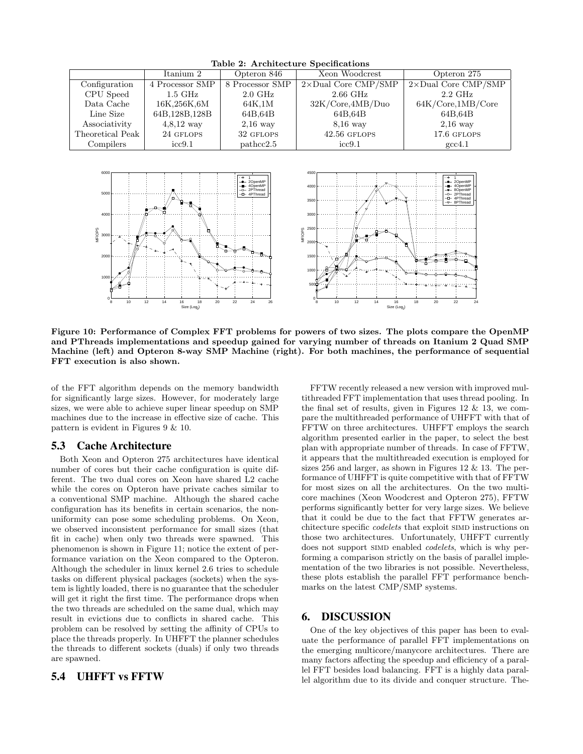| $\frac{1}{2}$    |                    |                    |                             |                             |  |  |
|------------------|--------------------|--------------------|-----------------------------|-----------------------------|--|--|
|                  | Itanium 2          | Opteron 846        | Xeon Woodcrest              | Opteron 275                 |  |  |
| Configuration    | 4 Processor SMP    | 8 Processor SMP    | $2\times$ Dual Core CMP/SMP | $2\times$ Dual Core CMP/SMP |  |  |
| CPU Speed        | $1.5\mathrm{~GHz}$ | $2.0\text{ GHz}$   | $2.66$ GHz                  | $2.2\text{ GHz}$            |  |  |
| Data Cache       | 16K,256K,6M        | 64K.1M             | 32K/Core, 4MB/Duo           | 64K/Core, 1MB/Core          |  |  |
| Line Size        | 64B.128B.128B      | 64B.64B            | 64B.64B                     | 64B.64B                     |  |  |
| Associativity    | $4,8,12$ way       | $2,16$ way         | $8,16$ way                  | $2,16$ way                  |  |  |
| Theoretical Peak | 24 GFLOPS          | 32 GFLOPS          | $42.56$ GFLOPS              | 17.6 GFLOPS                 |  |  |
| Compilers        | $\mathrm{icc}9.1$  | $\text{pathcc2.5}$ | $\mathrm{icc}9.1$           | $\gcd.1$                    |  |  |
|                  |                    |                    |                             |                             |  |  |

**Table 2: Architecture Specifications**



**Figure 10: Performance of Complex FFT problems for powers of two sizes. The plots compare the OpenMP and PThreads implementations and speedup gained for varying number of threads on Itanium 2 Quad SMP Machine (left) and Opteron 8-way SMP Machine (right). For both machines, the performance of sequential FFT execution is also shown.**

of the FFT algorithm depends on the memory bandwidth for significantly large sizes. However, for moderately large sizes, we were able to achieve super linear speedup on SMP machines due to the increase in effective size of cache. This pattern is evident in Figures 9 & 10.

### 5.3 Cache Architecture

Both Xeon and Opteron 275 architectures have identical number of cores but their cache configuration is quite different. The two dual cores on Xeon have shared L2 cache while the cores on Opteron have private caches similar to a conventional SMP machine. Although the shared cache configuration has its benefits in certain scenarios, the nonuniformity can pose some scheduling problems. On Xeon, we observed inconsistent performance for small sizes (that fit in cache) when only two threads were spawned. This phenomenon is shown in Figure 11; notice the extent of performance variation on the Xeon compared to the Opteron. Although the scheduler in linux kernel 2.6 tries to schedule tasks on different physical packages (sockets) when the system is lightly loaded, there is no guarantee that the scheduler will get it right the first time. The performance drops when the two threads are scheduled on the same dual, which may result in evictions due to conflicts in shared cache. This problem can be resolved by setting the affinity of CPUs to place the threads properly. In UHFFT the planner schedules the threads to different sockets (duals) if only two threads are spawned.

## 5.4 UHFFT vs FFTW

FFTW recently released a new version with improved multithreaded FFT implementation that uses thread pooling. In the final set of results, given in Figures 12 & 13, we compare the multithreaded performance of UHFFT with that of FFTW on three architectures. UHFFT employs the search algorithm presented earlier in the paper, to select the best plan with appropriate number of threads. In case of FFTW, it appears that the multithreaded execution is employed for sizes 256 and larger, as shown in Figures 12  $\&$  13. The performance of UHFFT is quite competitive with that of FFTW for most sizes on all the architectures. On the two multicore machines (Xeon Woodcrest and Opteron 275), FFTW performs significantly better for very large sizes. We believe that it could be due to the fact that FFTW generates architecture specific *codelets* that exploit SIMD instructions on those two architectures. Unfortunately, UHFFT currently does not support simd enabled *codelets*, which is why performing a comparison strictly on the basis of parallel implementation of the two libraries is not possible. Nevertheless, these plots establish the parallel FFT performance benchmarks on the latest CMP/SMP systems.

#### 6. DISCUSSION

One of the key objectives of this paper has been to evaluate the performance of parallel FFT implementations on the emerging multicore/manycore architectures. There are many factors affecting the speedup and efficiency of a parallel FFT besides load balancing. FFT is a highly data parallel algorithm due to its divide and conquer structure. The-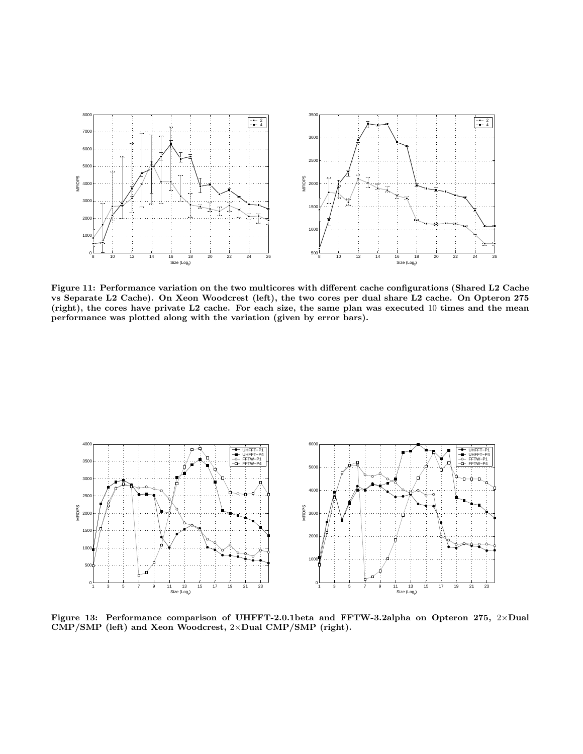

**Figure 11: Performance variation on the two multicores with different cache configurations (Shared L2 Cache vs Separate L2 Cache). On Xeon Woodcrest (left), the two cores per dual share L2 cache. On Opteron 275 (right), the cores have private L2 cache. For each size, the same plan was executed** 10 **times and the mean performance was plotted along with the variation (given by error bars).**



**Figure 13: Performance comparison of UHFFT-2.0.1beta and FFTW-3.2alpha on Opteron 275,** 2*×***Dual CMP/SMP (left) and Xeon Woodcrest,** 2*×***Dual CMP/SMP (right).**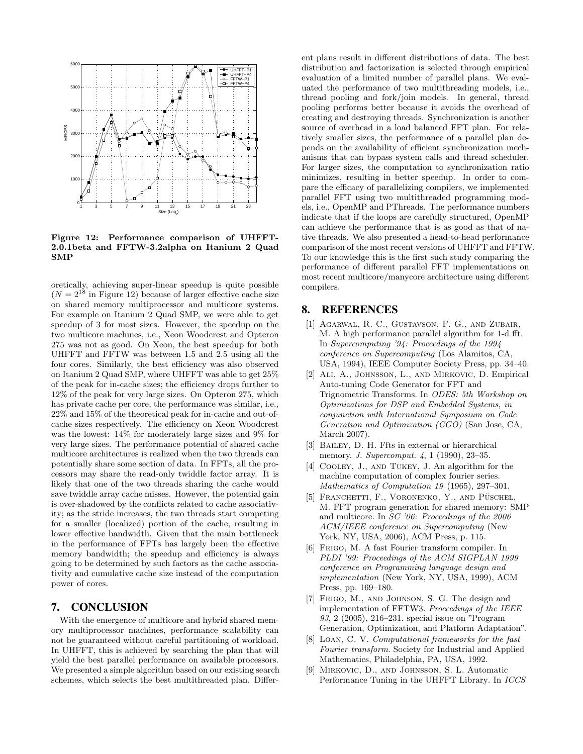

**Figure 12: Performance comparison of UHFFT-2.0.1beta and FFTW-3.2alpha on Itanium 2 Quad SMP**

oretically, achieving super-linear speedup is quite possible  $(N = 2^{18}$  in Figure 12) because of larger effective cache size on shared memory multiprocessor and multicore systems. For example on Itanium 2 Quad SMP, we were able to get speedup of 3 for most sizes. However, the speedup on the two multicore machines, i.e., Xeon Woodcrest and Opteron 275 was not as good. On Xeon, the best speedup for both UHFFT and FFTW was between 1*.*5 and 2*.*5 using all the four cores. Similarly, the best efficiency was also observed on Itanium 2 Quad SMP, where UHFFT was able to get 25% of the peak for in-cache sizes; the efficiency drops further to 12% of the peak for very large sizes. On Opteron 275, which has private cache per core, the performance was similar, i.e., 22% and 15% of the theoretical peak for in-cache and out-ofcache sizes respectively. The efficiency on Xeon Woodcrest was the lowest: 14% for moderately large sizes and 9% for very large sizes. The performance potential of shared cache multicore architectures is realized when the two threads can potentially share some section of data. In FFTs, all the processors may share the read-only twiddle factor array. It is likely that one of the two threads sharing the cache would save twiddle array cache misses. However, the potential gain is over-shadowed by the conflicts related to cache associativity; as the stride increases, the two threads start competing for a smaller (localized) portion of the cache, resulting in lower effective bandwidth. Given that the main bottleneck in the performance of FFTs has largely been the effective memory bandwidth; the speedup and efficiency is always going to be determined by such factors as the cache associativity and cumulative cache size instead of the computation power of cores.

# 7. CONCLUSION

With the emergence of multicore and hybrid shared memory multiprocessor machines, performance scalability can not be guaranteed without careful partitioning of workload. In UHFFT, this is achieved by searching the plan that will yield the best parallel performance on available processors. We presented a simple algorithm based on our existing search schemes, which selects the best multithreaded plan. Different plans result in different distributions of data. The best distribution and factorization is selected through empirical evaluation of a limited number of parallel plans. We evaluated the performance of two multithreading models, i.e., thread pooling and fork/join models. In general, thread pooling performs better because it avoids the overhead of creating and destroying threads. Synchronization is another source of overhead in a load balanced FFT plan. For relatively smaller sizes, the performance of a parallel plan depends on the availability of efficient synchronization mechanisms that can bypass system calls and thread scheduler. For larger sizes, the computation to synchronization ratio minimizes, resulting in better speedup. In order to compare the efficacy of parallelizing compilers, we implemented parallel FFT using two multithreaded programming models, i.e., OpenMP and PThreads. The performance numbers indicate that if the loops are carefully structured, OpenMP can achieve the performance that is as good as that of native threads. We also presented a head-to-head performance comparison of the most recent versions of UHFFT and FFTW. To our knowledge this is the first such study comparing the performance of different parallel FFT implementations on most recent multicore/manycore architecture using different compilers.

## 8. REFERENCES

- [1] Agarwal, R. C., Gustavson, F. G., and Zubair, M. A high performance parallel algorithm for 1-d fft. In *Supercomputing '94: Proceedings of the 1994 conference on Supercomputing* (Los Alamitos, CA, USA, 1994), IEEE Computer Society Press, pp. 34–40.
- [2] Ali, A., Johnsson, L., and Mirkovic, D. Empirical Auto-tuning Code Generator for FFT and Trignometric Transforms. In *ODES: 5th Workshop on Optimizations for DSP and Embedded Systems, in conjunction with International Symposium on Code Generation and Optimization (CGO)* (San Jose, CA, March 2007).
- [3] BAILEY, D. H. Ffts in external or hierarchical memory. *J. Supercomput. 4*, 1 (1990), 23–35.
- [4] COOLEY, J., AND TUKEY, J. An algorithm for the machine computation of complex fourier series. *Mathematics of Computation 19* (1965), 297–301.
- [5] FRANCHETTI, F., VORONENKO, Y., AND PÜSCHEL, M. FFT program generation for shared memory: SMP and multicore. In *SC '06: Proceedings of the 2006 ACM/IEEE conference on Supercomputing* (New York, NY, USA, 2006), ACM Press, p. 115.
- [6] Frigo, M. A fast Fourier transform compiler. In *PLDI '99: Proceedings of the ACM SIGPLAN 1999 conference on Programming language design and implementation* (New York, NY, USA, 1999), ACM Press, pp. 169–180.
- [7] Frigo, M., and Johnson, S. G. The design and implementation of FFTW3. *Proceedings of the IEEE 93*, 2 (2005), 216–231. special issue on "Program Generation, Optimization, and Platform Adaptation".
- [8] Loan, C. V. *Computational frameworks for the fast Fourier transform*. Society for Industrial and Applied Mathematics, Philadelphia, PA, USA, 1992.
- [9] Mirkovic, D., and Johnsson, S. L. Automatic Performance Tuning in the UHFFT Library. In *ICCS*